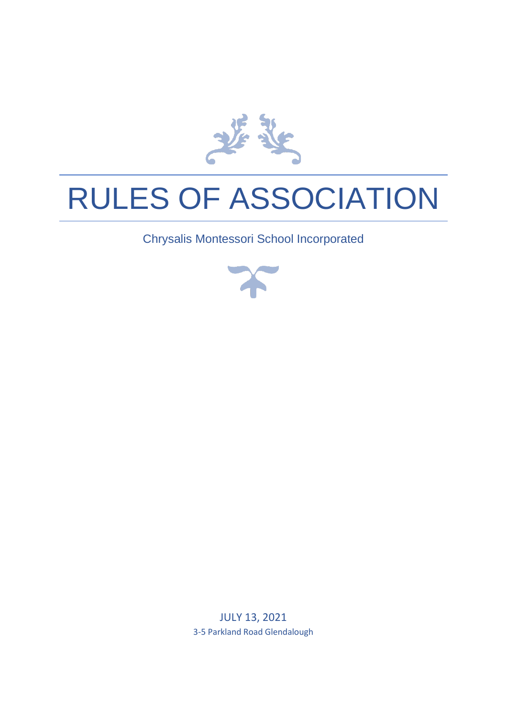

# RULES OF ASSOCIATION

Chrysalis Montessori School Incorporated



JULY 13, 2021 3-5 Parkland Road Glendalough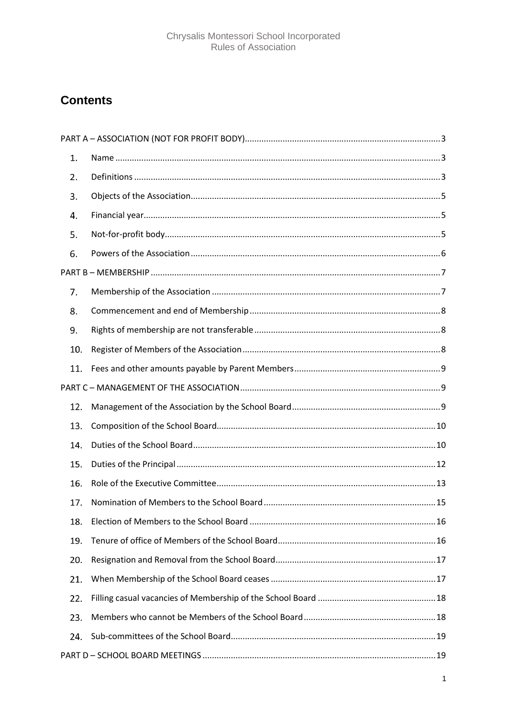### **Contents**

| $\mathbf{1}$ . |  |  |
|----------------|--|--|
| 2.             |  |  |
| 3.             |  |  |
| 4.             |  |  |
| 5.             |  |  |
| 6.             |  |  |
|                |  |  |
| 7.             |  |  |
| 8.             |  |  |
| 9.             |  |  |
| 10.            |  |  |
| 11.            |  |  |
|                |  |  |
| 12.            |  |  |
| 13.            |  |  |
| 14.            |  |  |
| 15.            |  |  |
| 16.            |  |  |
| 17.            |  |  |
| 18.            |  |  |
| 19.            |  |  |
| 20.            |  |  |
| 21.            |  |  |
| 22.            |  |  |
| 23.            |  |  |
| 24.            |  |  |
|                |  |  |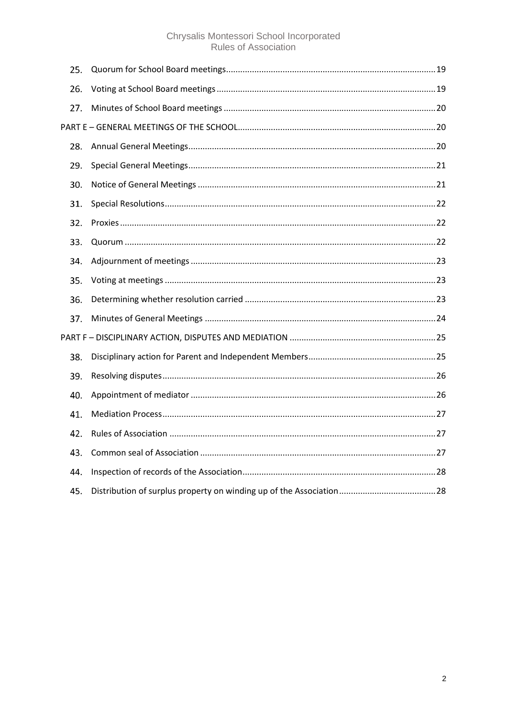## Chrysalis Montessori School Incorporated<br>Rules of Association

| 25. |  |  |
|-----|--|--|
| 26. |  |  |
| 27. |  |  |
|     |  |  |
| 28. |  |  |
| 29. |  |  |
| 30. |  |  |
| 31. |  |  |
| 32. |  |  |
| 33. |  |  |
| 34. |  |  |
| 35. |  |  |
| 36. |  |  |
| 37. |  |  |
|     |  |  |
| 38. |  |  |
| 39. |  |  |
| 40. |  |  |
| 41. |  |  |
| 42. |  |  |
| 43. |  |  |
| 44. |  |  |
| 45. |  |  |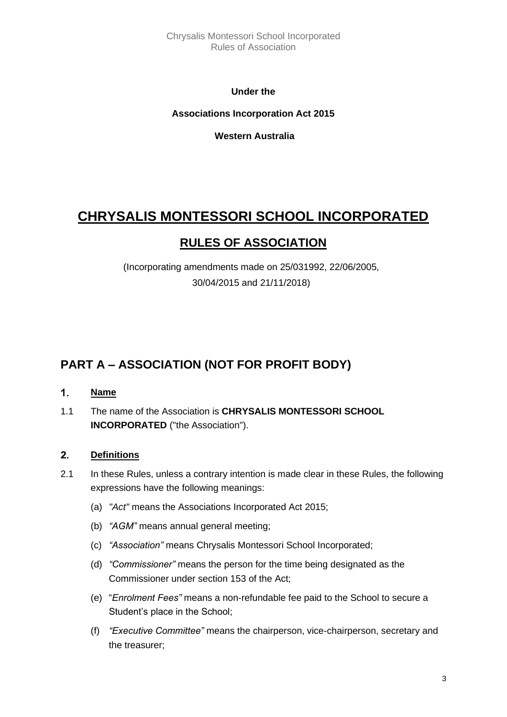Chrysalis Montessori School Incorporated Rules of Association

**Under the** 

**Associations Incorporation Act 2015**

**Western Australia**

### **CHRYSALIS MONTESSORI SCHOOL INCORPORATED**

### **RULES OF ASSOCIATION**

(Incorporating amendments made on 25/031992, 22/06/2005, 30/04/2015 and 21/11/2018)

### <span id="page-3-0"></span>**PART A – ASSOCIATION (NOT FOR PROFIT BODY)**

#### <span id="page-3-1"></span> $1<sub>1</sub>$ **Name**

1.1 The name of the Association is **CHRYSALIS MONTESSORI SCHOOL INCORPORATED** ("the Association").

#### <span id="page-3-2"></span> $2.$ **Definitions**

- 2.1 In these Rules, unless a contrary intention is made clear in these Rules, the following expressions have the following meanings:
	- (a) *"Act"* means the Associations Incorporated Act 2015;
	- (b) *"AGM"* means annual general meeting;
	- (c) *"Association"* means Chrysalis Montessori School Incorporated;
	- (d) *"Commissioner"* means the person for the time being designated as the Commissioner under section 153 of the Act;
	- (e) "*Enrolment Fees"* means a non-refundable fee paid to the School to secure a Student's place in the School;
	- (f) *"Executive Committee"* means the chairperson, vice-chairperson, secretary and the treasurer;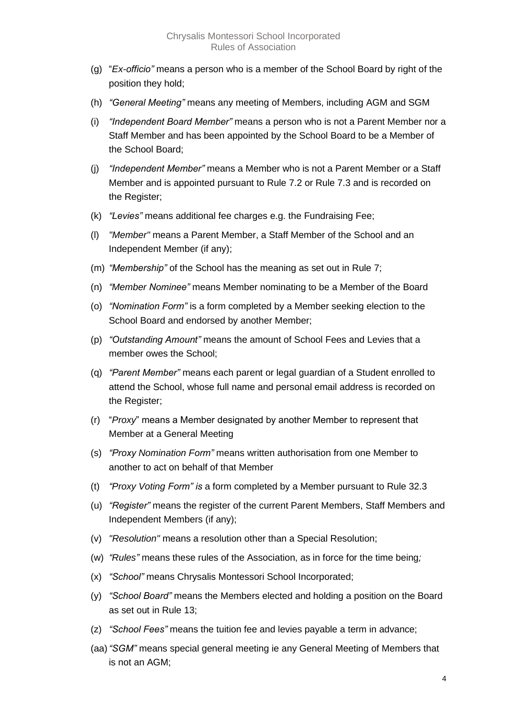- (g) "*Ex-officio"* means a person who is a member of the School Board by right of the position they hold;
- (h) *"General Meeting"* means any meeting of Members, including AGM and SGM
- (i) *"Independent Board Member"* means a person who is not a Parent Member nor a Staff Member and has been appointed by the School Board to be a Member of the School Board;
- (j) *"Independent Member"* means a Member who is not a Parent Member or a Staff Member and is appointed pursuant to Rule 7.2 or Rule 7.3 and is recorded on the Register;
- (k) *"Levies"* means additional fee charges e.g. the Fundraising Fee;
- (l) *"Member"* means a Parent Member, a Staff Member of the School and an Independent Member (if any);
- (m) *"Membership"* of the School has the meaning as set out in Rule 7;
- (n) *"Member Nominee"* means Member nominating to be a Member of the Board
- (o) *"Nomination Form"* is a form completed by a Member seeking election to the School Board and endorsed by another Member;
- (p) *"Outstanding Amount"* means the amount of School Fees and Levies that a member owes the School;
- (q) *"Parent Member"* means each parent or legal guardian of a Student enrolled to attend the School, whose full name and personal email address is recorded on the Register;
- (r) "*Proxy*" means a Member designated by another Member to represent that Member at a General Meeting
- (s) *"Proxy Nomination Form"* means written authorisation from one Member to another to act on behalf of that Member
- (t) *"Proxy Voting Form" is* a form completed by a Member pursuant to Rule 32.3
- (u) *"Register"* means the register of the current Parent Members, Staff Members and Independent Members (if any);
- (v) *"Resolution"* means a resolution other than a Special Resolution;
- (w) *"Rules"* means these rules of the Association, as in force for the time being*;*
- (x) *"School"* means Chrysalis Montessori School Incorporated;
- (y) *"School Board"* means the Members elected and holding a position on the Board as set out in Rule 13;
- (z) *"School Fees"* means the tuition fee and levies payable a term in advance;
- (aa)*"SGM"* means special general meeting ie any General Meeting of Members that is not an AGM;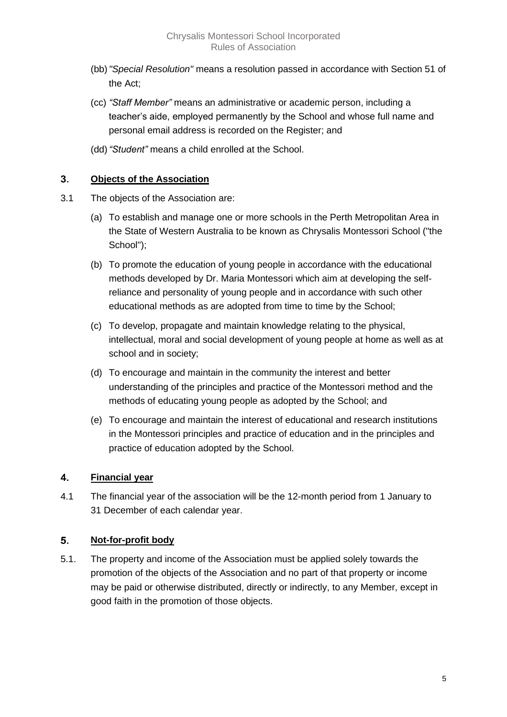- (bb)*"Special Resolution"* means a resolution passed in accordance with Section 51 of the Act;
- (cc) *"Staff Member"* means an administrative or academic person, including a teacher's aide, employed permanently by the School and whose full name and personal email address is recorded on the Register; and
- (dd)*"Student"* means a child enrolled at the School.

#### <span id="page-5-0"></span>3. **Objects of the Association**

- 3.1 The objects of the Association are:
	- (a) To establish and manage one or more schools in the Perth Metropolitan Area in the State of Western Australia to be known as Chrysalis Montessori School ("the School");
	- (b) To promote the education of young people in accordance with the educational methods developed by Dr. Maria Montessori which aim at developing the selfreliance and personality of young people and in accordance with such other educational methods as are adopted from time to time by the School;
	- (c) To develop, propagate and maintain knowledge relating to the physical, intellectual, moral and social development of young people at home as well as at school and in society;
	- (d) To encourage and maintain in the community the interest and better understanding of the principles and practice of the Montessori method and the methods of educating young people as adopted by the School; and
	- (e) To encourage and maintain the interest of educational and research institutions in the Montessori principles and practice of education and in the principles and practice of education adopted by the School.

#### <span id="page-5-1"></span>4. **Financial year**

4.1 The financial year of the association will be the 12-month period from 1 January to 31 December of each calendar year.

#### <span id="page-5-2"></span>5. **Not-for-profit body**

5.1. The property and income of the Association must be applied solely towards the promotion of the objects of the Association and no part of that property or income may be paid or otherwise distributed, directly or indirectly, to any Member, except in good faith in the promotion of those objects.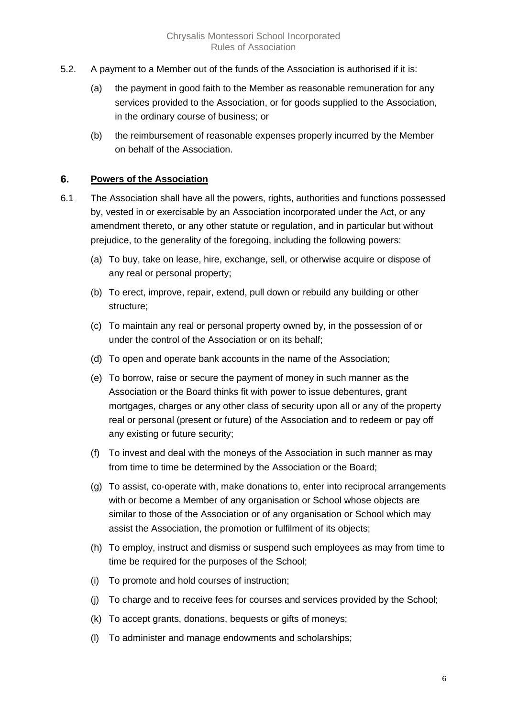- 5.2. A payment to a Member out of the funds of the Association is authorised if it is:
	- (a) the payment in good faith to the Member as reasonable remuneration for any services provided to the Association, or for goods supplied to the Association, in the ordinary course of business; or
	- (b) the reimbursement of reasonable expenses properly incurred by the Member on behalf of the Association.

#### <span id="page-6-0"></span>6. **Powers of the Association**

- 6.1 The Association shall have all the powers, rights, authorities and functions possessed by, vested in or exercisable by an Association incorporated under the Act, or any amendment thereto, or any other statute or regulation, and in particular but without prejudice, to the generality of the foregoing, including the following powers:
	- (a) To buy, take on lease, hire, exchange, sell, or otherwise acquire or dispose of any real or personal property;
	- (b) To erect, improve, repair, extend, pull down or rebuild any building or other structure;
	- (c) To maintain any real or personal property owned by, in the possession of or under the control of the Association or on its behalf;
	- (d) To open and operate bank accounts in the name of the Association;
	- (e) To borrow, raise or secure the payment of money in such manner as the Association or the Board thinks fit with power to issue debentures, grant mortgages, charges or any other class of security upon all or any of the property real or personal (present or future) of the Association and to redeem or pay off any existing or future security;
	- (f) To invest and deal with the moneys of the Association in such manner as may from time to time be determined by the Association or the Board;
	- (g) To assist, co-operate with, make donations to, enter into reciprocal arrangements with or become a Member of any organisation or School whose objects are similar to those of the Association or of any organisation or School which may assist the Association, the promotion or fulfilment of its objects;
	- (h) To employ, instruct and dismiss or suspend such employees as may from time to time be required for the purposes of the School;
	- (i) To promote and hold courses of instruction;
	- (j) To charge and to receive fees for courses and services provided by the School;
	- (k) To accept grants, donations, bequests or gifts of moneys;
	- (l) To administer and manage endowments and scholarships;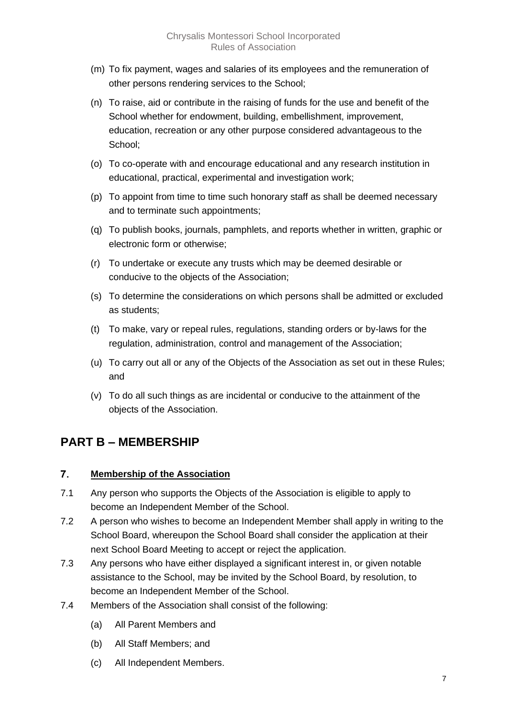- (m) To fix payment, wages and salaries of its employees and the remuneration of other persons rendering services to the School;
- (n) To raise, aid or contribute in the raising of funds for the use and benefit of the School whether for endowment, building, embellishment, improvement, education, recreation or any other purpose considered advantageous to the School;
- (o) To co-operate with and encourage educational and any research institution in educational, practical, experimental and investigation work;
- (p) To appoint from time to time such honorary staff as shall be deemed necessary and to terminate such appointments;
- (q) To publish books, journals, pamphlets, and reports whether in written, graphic or electronic form or otherwise;
- (r) To undertake or execute any trusts which may be deemed desirable or conducive to the objects of the Association;
- (s) To determine the considerations on which persons shall be admitted or excluded as students;
- (t) To make, vary or repeal rules, regulations, standing orders or by-laws for the regulation, administration, control and management of the Association;
- (u) To carry out all or any of the Objects of the Association as set out in these Rules; and
- (v) To do all such things as are incidental or conducive to the attainment of the objects of the Association.

### <span id="page-7-0"></span>**PART B – MEMBERSHIP**

#### <span id="page-7-1"></span> $7.$ **Membership of the Association**

- 7.1 Any person who supports the Objects of the Association is eligible to apply to become an Independent Member of the School.
- 7.2 A person who wishes to become an Independent Member shall apply in writing to the School Board, whereupon the School Board shall consider the application at their next School Board Meeting to accept or reject the application.
- 7.3 Any persons who have either displayed a significant interest in, or given notable assistance to the School, may be invited by the School Board, by resolution, to become an Independent Member of the School.
- 7.4 Members of the Association shall consist of the following:
	- (a) All Parent Members and
	- (b) All Staff Members; and
	- (c) All Independent Members.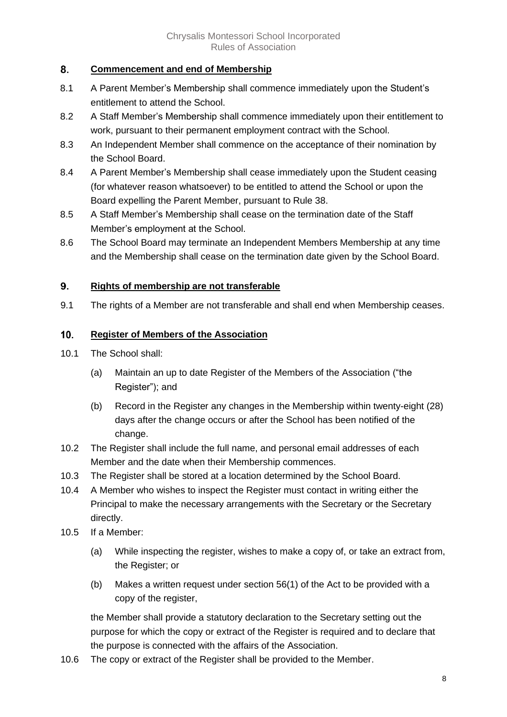#### <span id="page-8-0"></span>8. **Commencement and end of Membership**

- 8.1 A Parent Member's Membership shall commence immediately upon the Student's entitlement to attend the School.
- 8.2 A Staff Member's Membership shall commence immediately upon their entitlement to work, pursuant to their permanent employment contract with the School.
- 8.3 An Independent Member shall commence on the acceptance of their nomination by the School Board.
- 8.4 A Parent Member's Membership shall cease immediately upon the Student ceasing (for whatever reason whatsoever) to be entitled to attend the School or upon the Board expelling the Parent Member, pursuant to Rule 38.
- 8.5 A Staff Member's Membership shall cease on the termination date of the Staff Member's employment at the School.
- 8.6 The School Board may terminate an Independent Members Membership at any time and the Membership shall cease on the termination date given by the School Board.

#### <span id="page-8-1"></span>9. **Rights of membership are not transferable**

9.1 The rights of a Member are not transferable and shall end when Membership ceases.

#### <span id="page-8-2"></span> $10.$ **Register of Members of the Association**

- 10.1 The School shall:
	- (a) Maintain an up to date Register of the Members of the Association ("the Register"); and
	- (b) Record in the Register any changes in the Membership within twenty-eight (28) days after the change occurs or after the School has been notified of the change.
- 10.2 The Register shall include the full name, and personal email addresses of each Member and the date when their Membership commences.
- 10.3 The Register shall be stored at a location determined by the School Board.
- 10.4 A Member who wishes to inspect the Register must contact in writing either the Principal to make the necessary arrangements with the Secretary or the Secretary directly.
- 10.5 If a Member:
	- (a) While inspecting the register, wishes to make a copy of, or take an extract from, the Register; or
	- (b) Makes a written request under section 56(1) of the Act to be provided with a copy of the register,

the Member shall provide a statutory declaration to the Secretary setting out the purpose for which the copy or extract of the Register is required and to declare that the purpose is connected with the affairs of the Association.

10.6 The copy or extract of the Register shall be provided to the Member.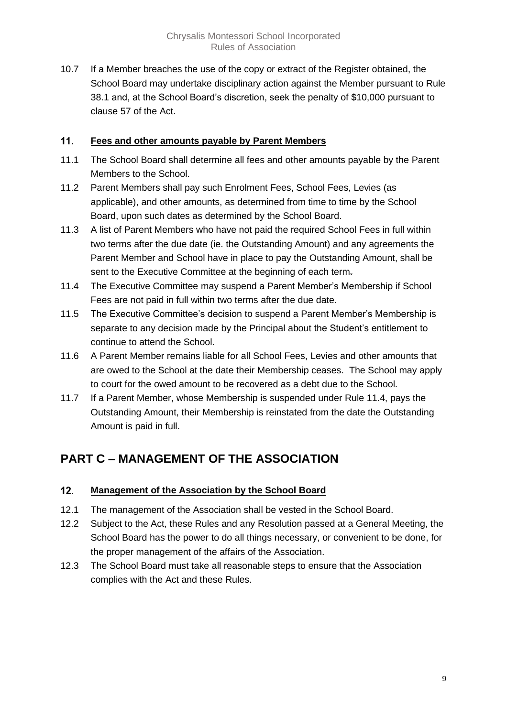10.7 If a Member breaches the use of the copy or extract of the Register obtained, the School Board may undertake disciplinary action against the Member pursuant to Rule 38.1 and, at the School Board's discretion, seek the penalty of \$10,000 pursuant to clause 57 of the Act.

#### <span id="page-9-0"></span> $11.$ **Fees and other amounts payable by Parent Members**

- 11.1 The School Board shall determine all fees and other amounts payable by the Parent Members to the School.
- 11.2 Parent Members shall pay such Enrolment Fees, School Fees, Levies (as applicable), and other amounts, as determined from time to time by the School Board, upon such dates as determined by the School Board.
- 11.3 A list of Parent Members who have not paid the required School Fees in full within two terms after the due date (ie. the Outstanding Amount) and any agreements the Parent Member and School have in place to pay the Outstanding Amount, shall be sent to the Executive Committee at the beginning of each term-
- 11.4 The Executive Committee may suspend a Parent Member's Membership if School Fees are not paid in full within two terms after the due date.
- 11.5 The Executive Committee's decision to suspend a Parent Member's Membership is separate to any decision made by the Principal about the Student's entitlement to continue to attend the School.
- 11.6 A Parent Member remains liable for all School Fees, Levies and other amounts that are owed to the School at the date their Membership ceases. The School may apply to court for the owed amount to be recovered as a debt due to the School.
- 11.7 If a Parent Member, whose Membership is suspended under Rule 11.4, pays the Outstanding Amount, their Membership is reinstated from the date the Outstanding Amount is paid in full.

### <span id="page-9-1"></span>**PART C – MANAGEMENT OF THE ASSOCIATION**

#### <span id="page-9-2"></span> $12.$ **Management of the Association by the School Board**

- 12.1 The management of the Association shall be vested in the School Board.
- 12.2 Subject to the Act, these Rules and any Resolution passed at a General Meeting, the School Board has the power to do all things necessary, or convenient to be done, for the proper management of the affairs of the Association.
- 12.3 The School Board must take all reasonable steps to ensure that the Association complies with the Act and these Rules.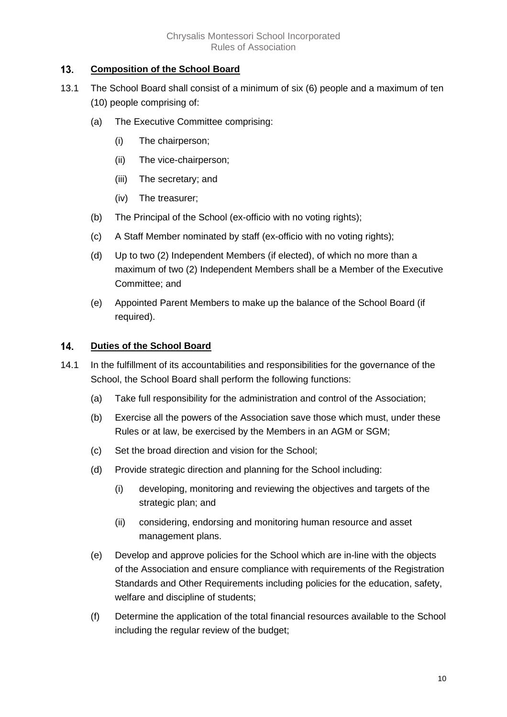#### <span id="page-10-0"></span> $13.$ **Composition of the School Board**

- 13.1 The School Board shall consist of a minimum of six (6) people and a maximum of ten (10) people comprising of:
	- (a) The Executive Committee comprising:
		- (i) The chairperson;
		- (ii) The vice-chairperson;
		- (iii) The secretary; and
		- (iv) The treasurer;
	- (b) The Principal of the School (ex-officio with no voting rights);
	- (c) A Staff Member nominated by staff (ex-officio with no voting rights);
	- (d) Up to two (2) Independent Members (if elected), of which no more than a maximum of two (2) Independent Members shall be a Member of the Executive Committee; and
	- (e) Appointed Parent Members to make up the balance of the School Board (if required).

#### <span id="page-10-1"></span> $14.$ **Duties of the School Board**

- 14.1 In the fulfillment of its accountabilities and responsibilities for the governance of the School, the School Board shall perform the following functions:
	- (a) Take full responsibility for the administration and control of the Association;
	- (b) Exercise all the powers of the Association save those which must, under these Rules or at law, be exercised by the Members in an AGM or SGM;
	- (c) Set the broad direction and vision for the School;
	- (d) Provide strategic direction and planning for the School including:
		- (i) developing, monitoring and reviewing the objectives and targets of the strategic plan; and
		- (ii) considering, endorsing and monitoring human resource and asset management plans.
	- (e) Develop and approve policies for the School which are in-line with the objects of the Association and ensure compliance with requirements of the Registration Standards and Other Requirements including policies for the education, safety, welfare and discipline of students;
	- (f) Determine the application of the total financial resources available to the School including the regular review of the budget;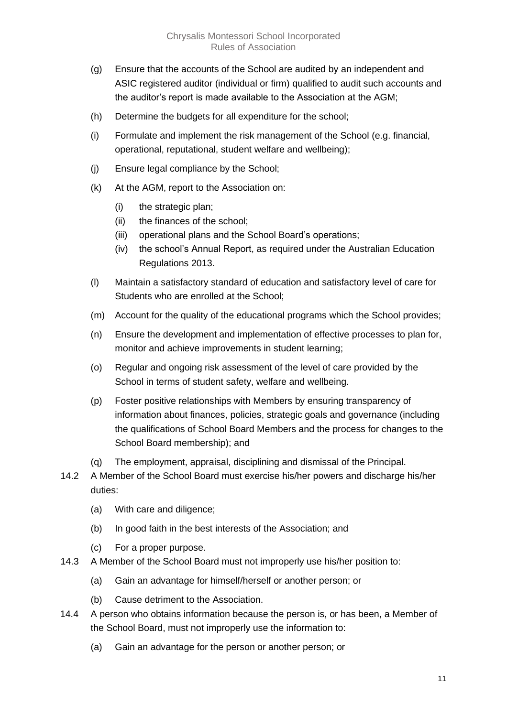- (g) Ensure that the accounts of the School are audited by an independent and ASIC registered auditor (individual or firm) qualified to audit such accounts and the auditor's report is made available to the Association at the AGM;
- (h) Determine the budgets for all expenditure for the school;
- (i) Formulate and implement the risk management of the School (e.g. financial, operational, reputational, student welfare and wellbeing);
- (j) Ensure legal compliance by the School;
- (k) At the AGM, report to the Association on:
	- (i) the strategic plan;
	- (ii) the finances of the school;
	- (iii) operational plans and the School Board's operations;
	- (iv) the school's Annual Report, as required under the Australian Education Regulations 2013.
- (l) Maintain a satisfactory standard of education and satisfactory level of care for Students who are enrolled at the School;
- (m) Account for the quality of the educational programs which the School provides;
- (n) Ensure the development and implementation of effective processes to plan for, monitor and achieve improvements in student learning;
- (o) Regular and ongoing risk assessment of the level of care provided by the School in terms of student safety, welfare and wellbeing.
- (p) Foster positive relationships with Members by ensuring transparency of information about finances, policies, strategic goals and governance (including the qualifications of School Board Members and the process for changes to the School Board membership); and
- (q) The employment, appraisal, disciplining and dismissal of the Principal.
- 14.2 A Member of the School Board must exercise his/her powers and discharge his/her duties:
	- (a) With care and diligence;
	- (b) In good faith in the best interests of the Association; and
	- (c) For a proper purpose.
- 14.3 A Member of the School Board must not improperly use his/her position to:
	- (a) Gain an advantage for himself/herself or another person; or
	- (b) Cause detriment to the Association.
- 14.4 A person who obtains information because the person is, or has been, a Member of the School Board, must not improperly use the information to:
	- (a) Gain an advantage for the person or another person; or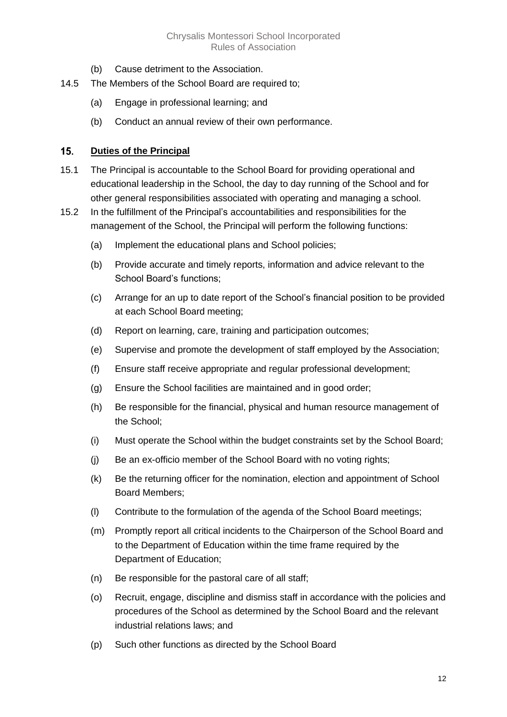- (b) Cause detriment to the Association.
- 14.5 The Members of the School Board are required to;
	- (a) Engage in professional learning; and
	- (b) Conduct an annual review of their own performance.

#### <span id="page-12-0"></span> $15.$ **Duties of the Principal**

- 15.1 The Principal is accountable to the School Board for providing operational and educational leadership in the School, the day to day running of the School and for other general responsibilities associated with operating and managing a school.
- 15.2 In the fulfillment of the Principal's accountabilities and responsibilities for the management of the School, the Principal will perform the following functions:
	- (a) Implement the educational plans and School policies;
	- (b) Provide accurate and timely reports, information and advice relevant to the School Board's functions;
	- (c) Arrange for an up to date report of the School's financial position to be provided at each School Board meeting;
	- (d) Report on learning, care, training and participation outcomes;
	- (e) Supervise and promote the development of staff employed by the Association;
	- (f) Ensure staff receive appropriate and regular professional development;
	- (g) Ensure the School facilities are maintained and in good order;
	- (h) Be responsible for the financial, physical and human resource management of the School;
	- (i) Must operate the School within the budget constraints set by the School Board;
	- (j) Be an ex-officio member of the School Board with no voting rights;
	- (k) Be the returning officer for the nomination, election and appointment of School Board Members;
	- (l) Contribute to the formulation of the agenda of the School Board meetings;
	- (m) Promptly report all critical incidents to the Chairperson of the School Board and to the Department of Education within the time frame required by the Department of Education;
	- (n) Be responsible for the pastoral care of all staff;
	- (o) Recruit, engage, discipline and dismiss staff in accordance with the policies and procedures of the School as determined by the School Board and the relevant industrial relations laws; and
	- (p) Such other functions as directed by the School Board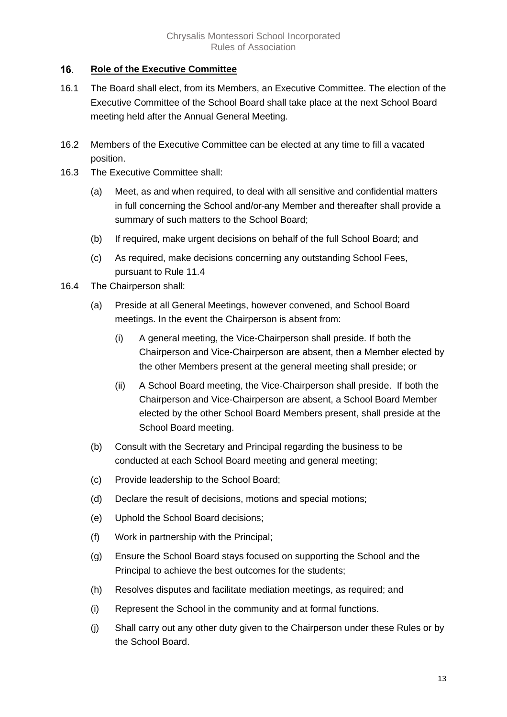#### <span id="page-13-0"></span>16. **Role of the Executive Committee**

- 16.1 The Board shall elect, from its Members, an Executive Committee. The election of the Executive Committee of the School Board shall take place at the next School Board meeting held after the Annual General Meeting.
- 16.2 Members of the Executive Committee can be elected at any time to fill a vacated position.
- 16.3 The Executive Committee shall:
	- (a) Meet, as and when required, to deal with all sensitive and confidential matters in full concerning the School and/or any Member and thereafter shall provide a summary of such matters to the School Board;
	- (b) If required, make urgent decisions on behalf of the full School Board; and
	- (c) As required, make decisions concerning any outstanding School Fees, pursuant to Rule 11.4
- 16.4 The Chairperson shall:
	- (a) Preside at all General Meetings, however convened, and School Board meetings. In the event the Chairperson is absent from:
		- (i) A general meeting, the Vice-Chairperson shall preside. If both the Chairperson and Vice-Chairperson are absent, then a Member elected by the other Members present at the general meeting shall preside; or
		- (ii) A School Board meeting, the Vice-Chairperson shall preside. If both the Chairperson and Vice-Chairperson are absent, a School Board Member elected by the other School Board Members present, shall preside at the School Board meeting.
	- (b) Consult with the Secretary and Principal regarding the business to be conducted at each School Board meeting and general meeting;
	- (c) Provide leadership to the School Board;
	- (d) Declare the result of decisions, motions and special motions;
	- (e) Uphold the School Board decisions;
	- (f) Work in partnership with the Principal;
	- (g) Ensure the School Board stays focused on supporting the School and the Principal to achieve the best outcomes for the students;
	- (h) Resolves disputes and facilitate mediation meetings, as required; and
	- (i) Represent the School in the community and at formal functions.
	- (j) Shall carry out any other duty given to the Chairperson under these Rules or by the School Board.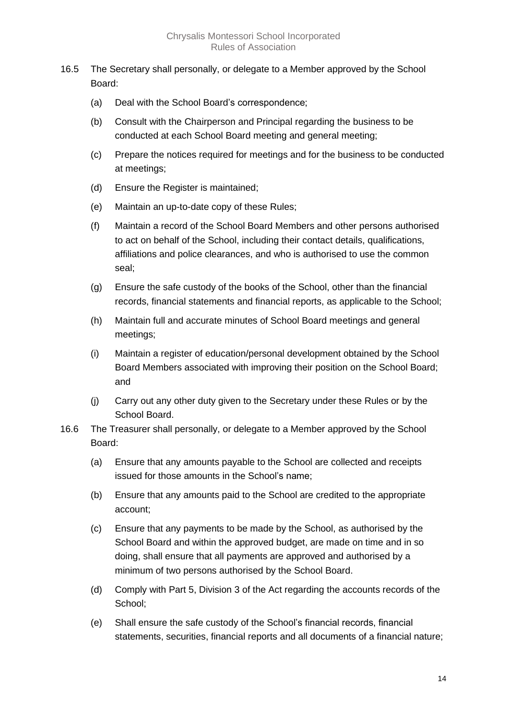- 16.5 The Secretary shall personally, or delegate to a Member approved by the School Board:
	- (a) Deal with the School Board's correspondence;
	- (b) Consult with the Chairperson and Principal regarding the business to be conducted at each School Board meeting and general meeting;
	- (c) Prepare the notices required for meetings and for the business to be conducted at meetings;
	- (d) Ensure the Register is maintained;
	- (e) Maintain an up-to-date copy of these Rules;
	- (f) Maintain a record of the School Board Members and other persons authorised to act on behalf of the School, including their contact details, qualifications, affiliations and police clearances, and who is authorised to use the common seal;
	- (g) Ensure the safe custody of the books of the School, other than the financial records, financial statements and financial reports, as applicable to the School;
	- (h) Maintain full and accurate minutes of School Board meetings and general meetings;
	- (i) Maintain a register of education/personal development obtained by the School Board Members associated with improving their position on the School Board; and
	- (j) Carry out any other duty given to the Secretary under these Rules or by the School Board.
- 16.6 The Treasurer shall personally, or delegate to a Member approved by the School Board:
	- (a) Ensure that any amounts payable to the School are collected and receipts issued for those amounts in the School's name;
	- (b) Ensure that any amounts paid to the School are credited to the appropriate account;
	- (c) Ensure that any payments to be made by the School, as authorised by the School Board and within the approved budget, are made on time and in so doing, shall ensure that all payments are approved and authorised by a minimum of two persons authorised by the School Board.
	- (d) Comply with Part 5, Division 3 of the Act regarding the accounts records of the School;
	- (e) Shall ensure the safe custody of the School's financial records, financial statements, securities, financial reports and all documents of a financial nature;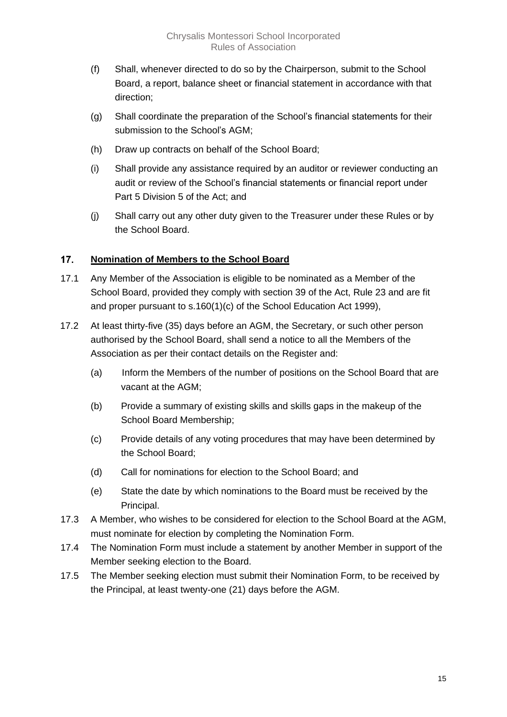- (f) Shall, whenever directed to do so by the Chairperson, submit to the School Board, a report, balance sheet or financial statement in accordance with that direction;
- (g) Shall coordinate the preparation of the School's financial statements for their submission to the School's AGM;
- (h) Draw up contracts on behalf of the School Board;
- (i) Shall provide any assistance required by an auditor or reviewer conducting an audit or review of the School's financial statements or financial report under Part 5 Division 5 of the Act; and
- (j) Shall carry out any other duty given to the Treasurer under these Rules or by the School Board.

#### <span id="page-15-0"></span> $17.$ **Nomination of Members to the School Board**

- 17.1 Any Member of the Association is eligible to be nominated as a Member of the School Board, provided they comply with section 39 of the Act, Rule 23 and are fit and proper pursuant to s.160(1)(c) of the School Education Act 1999),
- 17.2 At least thirty-five (35) days before an AGM, the Secretary, or such other person authorised by the School Board, shall send a notice to all the Members of the Association as per their contact details on the Register and:
	- (a) Inform the Members of the number of positions on the School Board that are vacant at the AGM;
	- (b) Provide a summary of existing skills and skills gaps in the makeup of the School Board Membership;
	- (c) Provide details of any voting procedures that may have been determined by the School Board;
	- (d) Call for nominations for election to the School Board; and
	- (e) State the date by which nominations to the Board must be received by the Principal.
- 17.3 A Member, who wishes to be considered for election to the School Board at the AGM, must nominate for election by completing the Nomination Form.
- 17.4 The Nomination Form must include a statement by another Member in support of the Member seeking election to the Board.
- 17.5 The Member seeking election must submit their Nomination Form, to be received by the Principal, at least twenty-one (21) days before the AGM.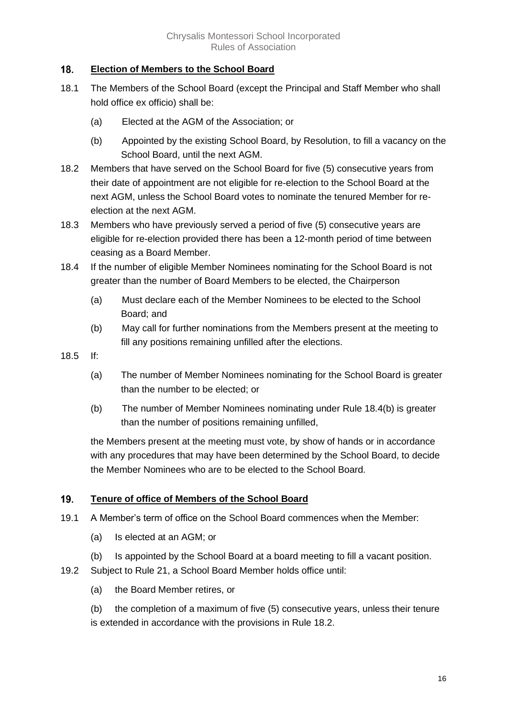#### <span id="page-16-0"></span> $18.$ **Election of Members to the School Board**

- 18.1 The Members of the School Board (except the Principal and Staff Member who shall hold office ex officio) shall be:
	- (a) Elected at the AGM of the Association; or
	- (b) Appointed by the existing School Board, by Resolution, to fill a vacancy on the School Board, until the next AGM.
- 18.2 Members that have served on the School Board for five (5) consecutive years from their date of appointment are not eligible for re-election to the School Board at the next AGM, unless the School Board votes to nominate the tenured Member for reelection at the next AGM.
- 18.3 Members who have previously served a period of five (5) consecutive years are eligible for re-election provided there has been a 12-month period of time between ceasing as a Board Member.
- 18.4 If the number of eligible Member Nominees nominating for the School Board is not greater than the number of Board Members to be elected, the Chairperson
	- (a) Must declare each of the Member Nominees to be elected to the School Board; and
	- (b) May call for further nominations from the Members present at the meeting to fill any positions remaining unfilled after the elections.
- 18.5 If:
	- (a) The number of Member Nominees nominating for the School Board is greater than the number to be elected; or
	- (b) The number of Member Nominees nominating under Rule 18.4(b) is greater than the number of positions remaining unfilled,

the Members present at the meeting must vote, by show of hands or in accordance with any procedures that may have been determined by the School Board, to decide the Member Nominees who are to be elected to the School Board.

#### <span id="page-16-1"></span>19. **Tenure of office of Members of the School Board**

- 19.1 A Member's term of office on the School Board commences when the Member:
	- (a) Is elected at an AGM; or
	- (b) Is appointed by the School Board at a board meeting to fill a vacant position.
- 19.2 Subject to Rule 21, a School Board Member holds office until:
	- (a) the Board Member retires, or

(b) the completion of a maximum of five (5) consecutive years, unless their tenure is extended in accordance with the provisions in Rule 18.2.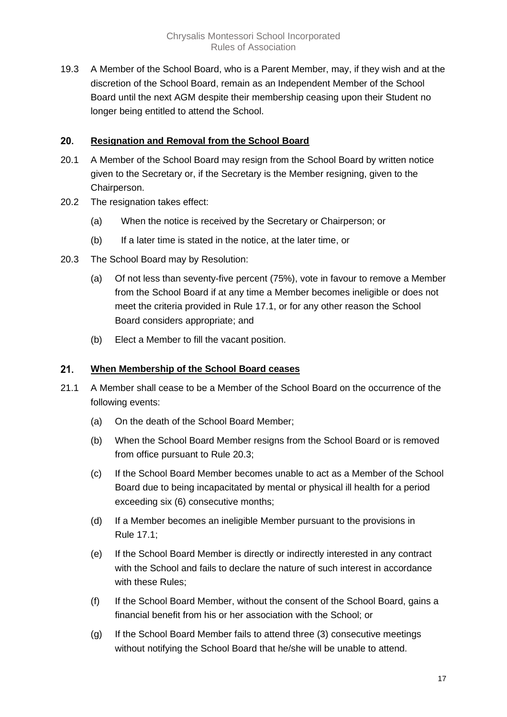19.3 A Member of the School Board, who is a Parent Member, may, if they wish and at the discretion of the School Board, remain as an Independent Member of the School Board until the next AGM despite their membership ceasing upon their Student no longer being entitled to attend the School.

#### <span id="page-17-0"></span> $20.$ **Resignation and Removal from the School Board**

- 20.1 A Member of the School Board may resign from the School Board by written notice given to the Secretary or, if the Secretary is the Member resigning, given to the Chairperson.
- 20.2 The resignation takes effect:
	- (a) When the notice is received by the Secretary or Chairperson; or
	- (b) If a later time is stated in the notice, at the later time, or
- 20.3 The School Board may by Resolution:
	- (a) Of not less than seventy-five percent (75%), vote in favour to remove a Member from the School Board if at any time a Member becomes ineligible or does not meet the criteria provided in Rule 17.1, or for any other reason the School Board considers appropriate; and
	- (b) Elect a Member to fill the vacant position.

#### <span id="page-17-1"></span> $21.$ **When Membership of the School Board ceases**

- 21.1 A Member shall cease to be a Member of the School Board on the occurrence of the following events:
	- (a) On the death of the School Board Member;
	- (b) When the School Board Member resigns from the School Board or is removed from office pursuant to Rule 20.3;
	- (c) If the School Board Member becomes unable to act as a Member of the School Board due to being incapacitated by mental or physical ill health for a period exceeding six (6) consecutive months;
	- (d) If a Member becomes an ineligible Member pursuant to the provisions in Rule 17.1;
	- (e) If the School Board Member is directly or indirectly interested in any contract with the School and fails to declare the nature of such interest in accordance with these Rules;
	- (f) If the School Board Member, without the consent of the School Board, gains a financial benefit from his or her association with the School; or
	- (g) If the School Board Member fails to attend three (3) consecutive meetings without notifying the School Board that he/she will be unable to attend.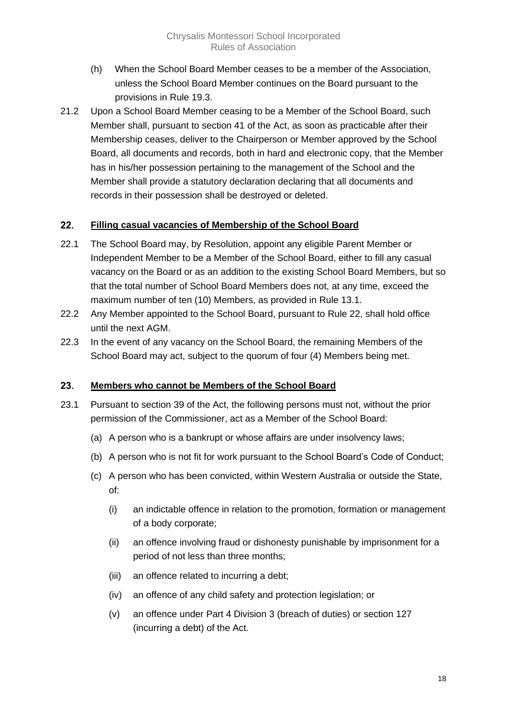- (h) When the School Board Member ceases to be a member of the Association, unless the School Board Member continues on the Board pursuant to the provisions in Rule 19.3.
- 21.2 Upon a School Board Member ceasing to be a Member of the School Board, such Member shall, pursuant to section 41 of the Act, as soon as practicable after their Membership ceases, deliver to the Chairperson or Member approved by the School Board, all documents and records, both in hard and electronic copy, that the Member has in his/her possession pertaining to the management of the School and the Member shall provide a statutory declaration declaring that all documents and records in their possession shall be destroyed or deleted.

#### <span id="page-18-0"></span> $22.$ **Filling casual vacancies of Membership of the School Board**

- 22.1 The School Board may, by Resolution, appoint any eligible Parent Member or Independent Member to be a Member of the School Board, either to fill any casual vacancy on the Board or as an addition to the existing School Board Members, but so that the total number of School Board Members does not, at any time, exceed the maximum number of ten (10) Members, as provided in Rule 13.1.
- 22.2 Any Member appointed to the School Board, pursuant to Rule 22, shall hold office until the next AGM.
- 22.3 In the event of any vacancy on the School Board, the remaining Members of the School Board may act, subject to the quorum of four (4) Members being met.

#### <span id="page-18-1"></span>23. **Members who cannot be Members of the School Board**

- 23.1 Pursuant to section 39 of the Act, the following persons must not, without the prior permission of the Commissioner, act as a Member of the School Board:
	- (a) A person who is a bankrupt or whose affairs are under insolvency laws;
	- (b) A person who is not fit for work pursuant to the School Board's Code of Conduct;
	- (c) A person who has been convicted, within Western Australia or outside the State, of:
		- (i) an indictable offence in relation to the promotion, formation or management of a body corporate;
		- (ii) an offence involving fraud or dishonesty punishable by imprisonment for a period of not less than three months;
		- (iii) an offence related to incurring a debt;
		- (iv) an offence of any child safety and protection legislation; or
		- (v) an offence under Part 4 Division 3 (breach of duties) or section 127 (incurring a debt) of the Act.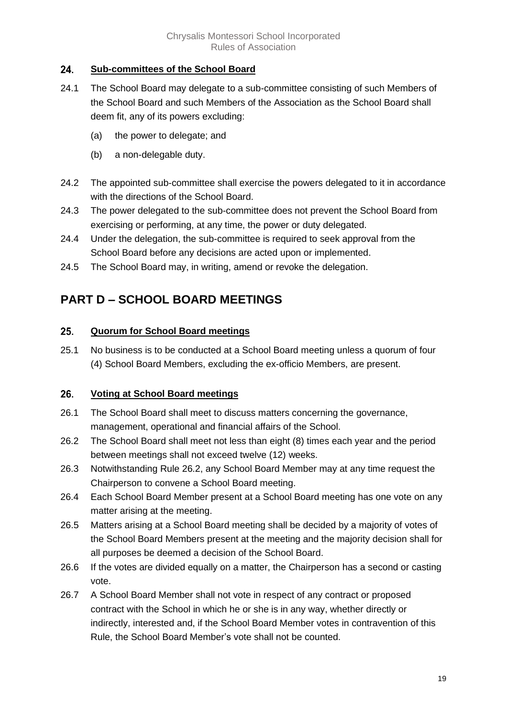#### <span id="page-19-0"></span>24. **Sub-committees of the School Board**

- 24.1 The School Board may delegate to a sub-committee consisting of such Members of the School Board and such Members of the Association as the School Board shall deem fit, any of its powers excluding:
	- (a) the power to delegate; and
	- (b) a non-delegable duty.
- 24.2 The appointed sub-committee shall exercise the powers delegated to it in accordance with the directions of the School Board.
- 24.3 The power delegated to the sub-committee does not prevent the School Board from exercising or performing, at any time, the power or duty delegated.
- 24.4 Under the delegation, the sub-committee is required to seek approval from the School Board before any decisions are acted upon or implemented.
- 24.5 The School Board may, in writing, amend or revoke the delegation.

### <span id="page-19-1"></span>**PART D – SCHOOL BOARD MEETINGS**

#### <span id="page-19-2"></span>25. **Quorum for School Board meetings**

25.1 No business is to be conducted at a School Board meeting unless a quorum of four (4) School Board Members, excluding the ex-officio Members, are present.

#### <span id="page-19-3"></span>26. **Voting at School Board meetings**

- 26.1 The School Board shall meet to discuss matters concerning the governance, management, operational and financial affairs of the School.
- 26.2 The School Board shall meet not less than eight (8) times each year and the period between meetings shall not exceed twelve (12) weeks.
- 26.3 Notwithstanding Rule 26.2, any School Board Member may at any time request the Chairperson to convene a School Board meeting.
- 26.4 Each School Board Member present at a School Board meeting has one vote on any matter arising at the meeting.
- 26.5 Matters arising at a School Board meeting shall be decided by a majority of votes of the School Board Members present at the meeting and the majority decision shall for all purposes be deemed a decision of the School Board.
- 26.6 If the votes are divided equally on a matter, the Chairperson has a second or casting vote.
- 26.7 A School Board Member shall not vote in respect of any contract or proposed contract with the School in which he or she is in any way, whether directly or indirectly, interested and, if the School Board Member votes in contravention of this Rule, the School Board Member's vote shall not be counted.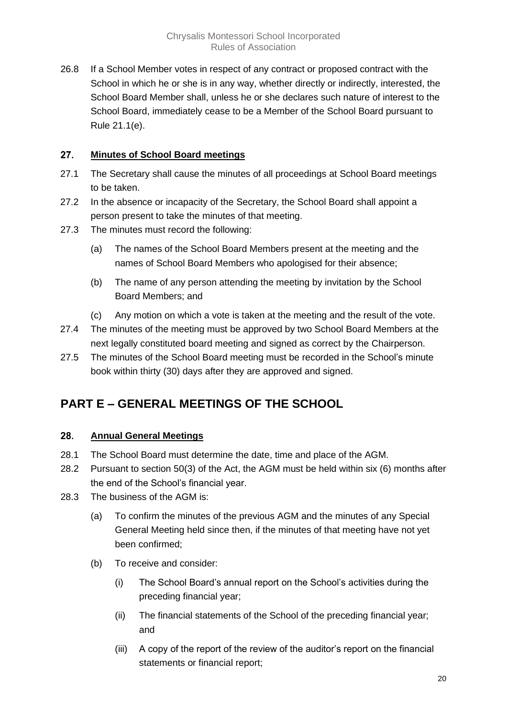26.8 If a School Member votes in respect of any contract or proposed contract with the School in which he or she is in any way, whether directly or indirectly, interested, the School Board Member shall, unless he or she declares such nature of interest to the School Board, immediately cease to be a Member of the School Board pursuant to Rule 21.1(e).

#### <span id="page-20-0"></span> $27.$ **Minutes of School Board meetings**

- 27.1 The Secretary shall cause the minutes of all proceedings at School Board meetings to be taken.
- 27.2 In the absence or incapacity of the Secretary, the School Board shall appoint a person present to take the minutes of that meeting.
- 27.3 The minutes must record the following:
	- (a) The names of the School Board Members present at the meeting and the names of School Board Members who apologised for their absence;
	- (b) The name of any person attending the meeting by invitation by the School Board Members; and
	- (c) Any motion on which a vote is taken at the meeting and the result of the vote.
- 27.4 The minutes of the meeting must be approved by two School Board Members at the next legally constituted board meeting and signed as correct by the Chairperson.
- 27.5 The minutes of the School Board meeting must be recorded in the School's minute book within thirty (30) days after they are approved and signed.

### <span id="page-20-1"></span>**PART E – GENERAL MEETINGS OF THE SCHOOL**

#### <span id="page-20-2"></span>28. **Annual General Meetings**

- 28.1 The School Board must determine the date, time and place of the AGM.
- 28.2 Pursuant to section 50(3) of the Act, the AGM must be held within six (6) months after the end of the School's financial year.
- 28.3 The business of the AGM is:
	- (a) To confirm the minutes of the previous AGM and the minutes of any Special General Meeting held since then, if the minutes of that meeting have not yet been confirmed;
	- (b) To receive and consider:
		- (i) The School Board's annual report on the School's activities during the preceding financial year;
		- (ii) The financial statements of the School of the preceding financial year; and
		- (iii) A copy of the report of the review of the auditor's report on the financial statements or financial report;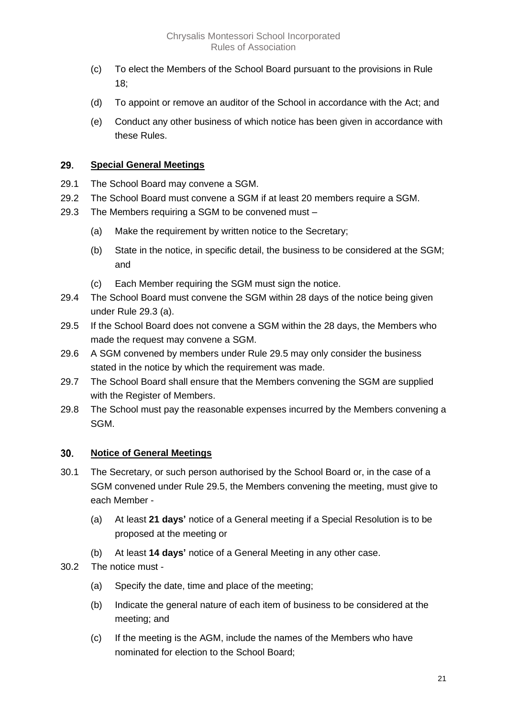- (c) To elect the Members of the School Board pursuant to the provisions in Rule 18;
- (d) To appoint or remove an auditor of the School in accordance with the Act; and
- (e) Conduct any other business of which notice has been given in accordance with these Rules.

#### <span id="page-21-0"></span>29. **Special General Meetings**

- 29.1 The School Board may convene a SGM.
- 29.2 The School Board must convene a SGM if at least 20 members require a SGM.
- 29.3 The Members requiring a SGM to be convened must
	- (a) Make the requirement by written notice to the Secretary;
	- (b) State in the notice, in specific detail, the business to be considered at the SGM; and
	- (c) Each Member requiring the SGM must sign the notice.
- 29.4 The School Board must convene the SGM within 28 days of the notice being given under Rule 29.3 (a).
- 29.5 If the School Board does not convene a SGM within the 28 days, the Members who made the request may convene a SGM.
- 29.6 A SGM convened by members under Rule 29.5 may only consider the business stated in the notice by which the requirement was made.
- 29.7 The School Board shall ensure that the Members convening the SGM are supplied with the Register of Members.
- 29.8 The School must pay the reasonable expenses incurred by the Members convening a SGM.

#### <span id="page-21-1"></span>30. **Notice of General Meetings**

- 30.1 The Secretary, or such person authorised by the School Board or, in the case of a SGM convened under Rule 29.5, the Members convening the meeting, must give to each Member -
	- (a) At least **21 days'** notice of a General meeting if a Special Resolution is to be proposed at the meeting or
	- (b) At least **14 days'** notice of a General Meeting in any other case.
- 30.2 The notice must
	- (a) Specify the date, time and place of the meeting;
	- (b) Indicate the general nature of each item of business to be considered at the meeting; and
	- (c) If the meeting is the AGM, include the names of the Members who have nominated for election to the School Board;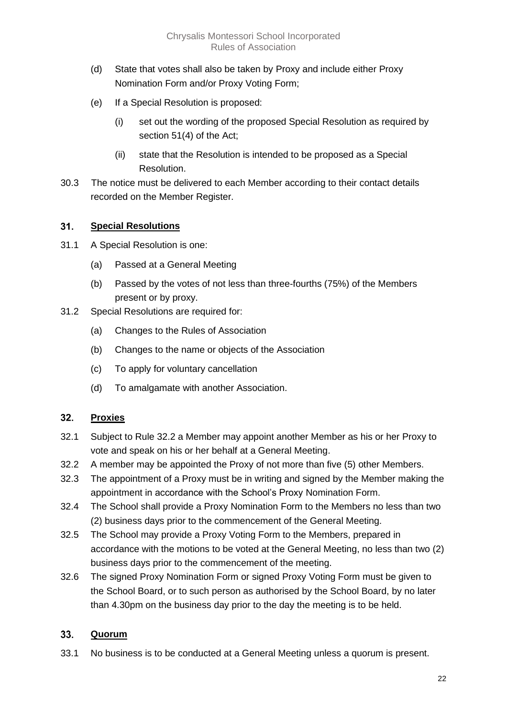- (d) State that votes shall also be taken by Proxy and include either Proxy Nomination Form and/or Proxy Voting Form;
- (e) If a Special Resolution is proposed:
	- (i) set out the wording of the proposed Special Resolution as required by section 51(4) of the Act;
	- (ii) state that the Resolution is intended to be proposed as a Special Resolution.
- 30.3 The notice must be delivered to each Member according to their contact details recorded on the Member Register.

#### <span id="page-22-0"></span> $31.$ **Special Resolutions**

- 31.1 A Special Resolution is one:
	- (a) Passed at a General Meeting
	- (b) Passed by the votes of not less than three-fourths (75%) of the Members present or by proxy.
- 31.2 Special Resolutions are required for:
	- (a) Changes to the Rules of Association
	- (b) Changes to the name or objects of the Association
	- (c) To apply for voluntary cancellation
	- (d) To amalgamate with another Association.

#### <span id="page-22-1"></span> $32.$ **Proxies**

- 32.1 Subject to Rule 32.2 a Member may appoint another Member as his or her Proxy to vote and speak on his or her behalf at a General Meeting.
- 32.2 A member may be appointed the Proxy of not more than five (5) other Members.
- 32.3 The appointment of a Proxy must be in writing and signed by the Member making the appointment in accordance with the School's Proxy Nomination Form.
- 32.4 The School shall provide a Proxy Nomination Form to the Members no less than two (2) business days prior to the commencement of the General Meeting.
- 32.5 The School may provide a Proxy Voting Form to the Members, prepared in accordance with the motions to be voted at the General Meeting, no less than two (2) business days prior to the commencement of the meeting.
- 32.6 The signed Proxy Nomination Form or signed Proxy Voting Form must be given to the School Board, or to such person as authorised by the School Board, by no later than 4.30pm on the business day prior to the day the meeting is to be held.

#### <span id="page-22-2"></span>33. **Quorum**

33.1 No business is to be conducted at a General Meeting unless a quorum is present.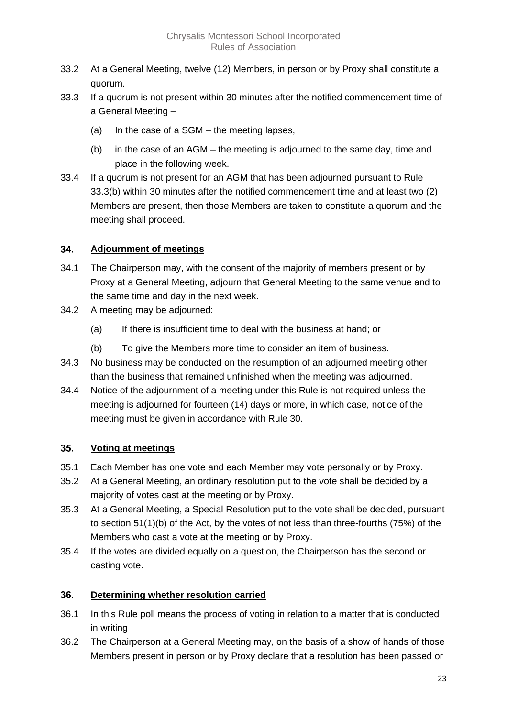- 33.2 At a General Meeting, twelve (12) Members, in person or by Proxy shall constitute a quorum.
- 33.3 If a quorum is not present within 30 minutes after the notified commencement time of a General Meeting –
	- (a) In the case of a SGM the meeting lapses,
	- (b) in the case of an AGM the meeting is adjourned to the same day, time and place in the following week.
- 33.4 If a quorum is not present for an AGM that has been adjourned pursuant to Rule 33.3(b) within 30 minutes after the notified commencement time and at least two (2) Members are present, then those Members are taken to constitute a quorum and the meeting shall proceed.

#### <span id="page-23-0"></span>34. **Adjournment of meetings**

- 34.1 The Chairperson may, with the consent of the majority of members present or by Proxy at a General Meeting, adjourn that General Meeting to the same venue and to the same time and day in the next week.
- 34.2 A meeting may be adjourned:
	- (a) If there is insufficient time to deal with the business at hand; or
	- (b) To give the Members more time to consider an item of business.
- 34.3 No business may be conducted on the resumption of an adjourned meeting other than the business that remained unfinished when the meeting was adjourned.
- 34.4 Notice of the adjournment of a meeting under this Rule is not required unless the meeting is adjourned for fourteen (14) days or more, in which case, notice of the meeting must be given in accordance with Rule 30.

#### <span id="page-23-1"></span> $35.$ **Voting at meetings**

- 35.1 Each Member has one vote and each Member may vote personally or by Proxy.
- 35.2 At a General Meeting, an ordinary resolution put to the vote shall be decided by a majority of votes cast at the meeting or by Proxy.
- 35.3 At a General Meeting, a Special Resolution put to the vote shall be decided, pursuant to section 51(1)(b) of the Act, by the votes of not less than three-fourths (75%) of the Members who cast a vote at the meeting or by Proxy.
- 35.4 If the votes are divided equally on a question, the Chairperson has the second or casting vote.

#### <span id="page-23-2"></span> $36.$ **Determining whether resolution carried**

- 36.1 In this Rule poll means the process of voting in relation to a matter that is conducted in writing
- 36.2 The Chairperson at a General Meeting may, on the basis of a show of hands of those Members present in person or by Proxy declare that a resolution has been passed or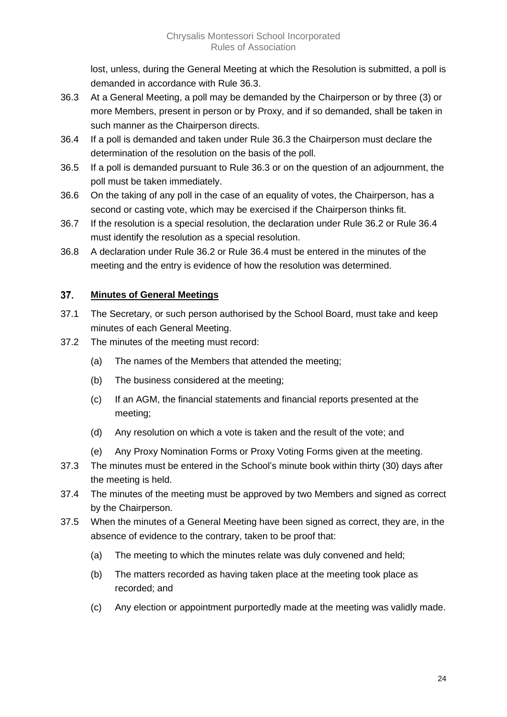lost, unless, during the General Meeting at which the Resolution is submitted, a poll is demanded in accordance with Rule 36.3.

- 36.3 At a General Meeting, a poll may be demanded by the Chairperson or by three (3) or more Members, present in person or by Proxy, and if so demanded, shall be taken in such manner as the Chairperson directs.
- 36.4 If a poll is demanded and taken under Rule 36.3 the Chairperson must declare the determination of the resolution on the basis of the poll.
- 36.5 If a poll is demanded pursuant to Rule 36.3 or on the question of an adjournment, the poll must be taken immediately.
- 36.6 On the taking of any poll in the case of an equality of votes, the Chairperson, has a second or casting vote, which may be exercised if the Chairperson thinks fit.
- 36.7 If the resolution is a special resolution, the declaration under Rule 36.2 or Rule 36.4 must identify the resolution as a special resolution.
- 36.8 A declaration under Rule 36.2 or Rule 36.4 must be entered in the minutes of the meeting and the entry is evidence of how the resolution was determined.

#### <span id="page-24-0"></span> $37.$ **Minutes of General Meetings**

- 37.1 The Secretary, or such person authorised by the School Board, must take and keep minutes of each General Meeting.
- 37.2 The minutes of the meeting must record:
	- (a) The names of the Members that attended the meeting;
	- (b) The business considered at the meeting;
	- (c) If an AGM, the financial statements and financial reports presented at the meeting;
	- (d) Any resolution on which a vote is taken and the result of the vote; and
	- (e) Any Proxy Nomination Forms or Proxy Voting Forms given at the meeting.
- 37.3 The minutes must be entered in the School's minute book within thirty (30) days after the meeting is held.
- 37.4 The minutes of the meeting must be approved by two Members and signed as correct by the Chairperson.
- 37.5 When the minutes of a General Meeting have been signed as correct, they are, in the absence of evidence to the contrary, taken to be proof that:
	- (a) The meeting to which the minutes relate was duly convened and held;
	- (b) The matters recorded as having taken place at the meeting took place as recorded; and
	- (c) Any election or appointment purportedly made at the meeting was validly made.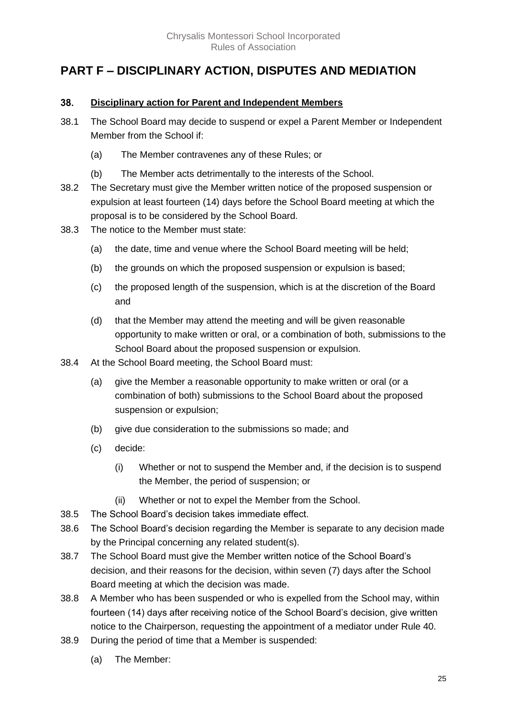### <span id="page-25-0"></span>**PART F – DISCIPLINARY ACTION, DISPUTES AND MEDIATION**

#### <span id="page-25-1"></span>38. **Disciplinary action for Parent and Independent Members**

- 38.1 The School Board may decide to suspend or expel a Parent Member or Independent Member from the School if:
	- (a) The Member contravenes any of these Rules; or
	- (b) The Member acts detrimentally to the interests of the School.
- 38.2 The Secretary must give the Member written notice of the proposed suspension or expulsion at least fourteen (14) days before the School Board meeting at which the proposal is to be considered by the School Board.
- 38.3 The notice to the Member must state:
	- (a) the date, time and venue where the School Board meeting will be held;
	- (b) the grounds on which the proposed suspension or expulsion is based;
	- (c) the proposed length of the suspension, which is at the discretion of the Board and
	- (d) that the Member may attend the meeting and will be given reasonable opportunity to make written or oral, or a combination of both, submissions to the School Board about the proposed suspension or expulsion.
- 38.4 At the School Board meeting, the School Board must:
	- (a) give the Member a reasonable opportunity to make written or oral (or a combination of both) submissions to the School Board about the proposed suspension or expulsion;
	- (b) give due consideration to the submissions so made; and
	- (c) decide:
		- (i) Whether or not to suspend the Member and, if the decision is to suspend the Member, the period of suspension; or
		- (ii) Whether or not to expel the Member from the School.
- 38.5 The School Board's decision takes immediate effect.
- 38.6 The School Board's decision regarding the Member is separate to any decision made by the Principal concerning any related student(s).
- 38.7 The School Board must give the Member written notice of the School Board's decision, and their reasons for the decision, within seven (7) days after the School Board meeting at which the decision was made.
- 38.8 A Member who has been suspended or who is expelled from the School may, within fourteen (14) days after receiving notice of the School Board's decision, give written notice to the Chairperson, requesting the appointment of a mediator under Rule 40.
- 38.9 During the period of time that a Member is suspended:
	- (a) The Member: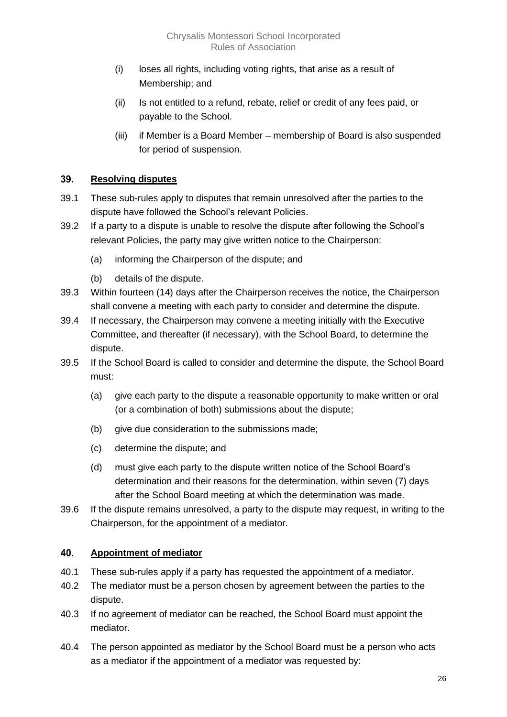- (i) loses all rights, including voting rights, that arise as a result of Membership; and
- (ii) Is not entitled to a refund, rebate, relief or credit of any fees paid, or payable to the School.
- (iii) if Member is a Board Member membership of Board is also suspended for period of suspension.

#### <span id="page-26-0"></span>39. **Resolving disputes**

- 39.1 These sub-rules apply to disputes that remain unresolved after the parties to the dispute have followed the School's relevant Policies.
- 39.2 If a party to a dispute is unable to resolve the dispute after following the School's relevant Policies, the party may give written notice to the Chairperson:
	- (a) informing the Chairperson of the dispute; and
	- (b) details of the dispute.
- 39.3 Within fourteen (14) days after the Chairperson receives the notice, the Chairperson shall convene a meeting with each party to consider and determine the dispute.
- 39.4 If necessary, the Chairperson may convene a meeting initially with the Executive Committee, and thereafter (if necessary), with the School Board, to determine the dispute.
- 39.5 If the School Board is called to consider and determine the dispute, the School Board must:
	- (a) give each party to the dispute a reasonable opportunity to make written or oral (or a combination of both) submissions about the dispute;
	- (b) give due consideration to the submissions made;
	- (c) determine the dispute; and
	- (d) must give each party to the dispute written notice of the School Board's determination and their reasons for the determination, within seven (7) days after the School Board meeting at which the determination was made.
- 39.6 If the dispute remains unresolved, a party to the dispute may request, in writing to the Chairperson, for the appointment of a mediator.

#### <span id="page-26-1"></span>40. **Appointment of mediator**

- 40.1 These sub-rules apply if a party has requested the appointment of a mediator.
- 40.2 The mediator must be a person chosen by agreement between the parties to the dispute.
- 40.3 If no agreement of mediator can be reached, the School Board must appoint the mediator.
- 40.4 The person appointed as mediator by the School Board must be a person who acts as a mediator if the appointment of a mediator was requested by: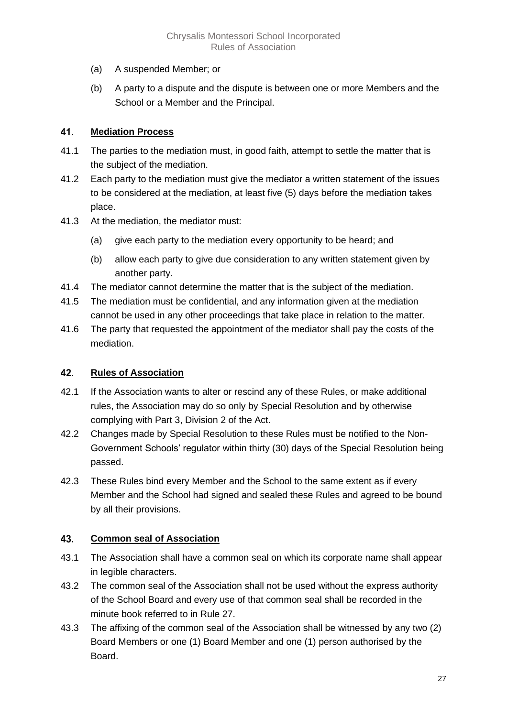- (a) A suspended Member; or
- (b) A party to a dispute and the dispute is between one or more Members and the School or a Member and the Principal.

#### <span id="page-27-0"></span>41. **Mediation Process**

- 41.1 The parties to the mediation must, in good faith, attempt to settle the matter that is the subject of the mediation.
- 41.2 Each party to the mediation must give the mediator a written statement of the issues to be considered at the mediation, at least five (5) days before the mediation takes place.
- 41.3 At the mediation, the mediator must:
	- (a) give each party to the mediation every opportunity to be heard; and
	- (b) allow each party to give due consideration to any written statement given by another party.
- 41.4 The mediator cannot determine the matter that is the subject of the mediation.
- 41.5 The mediation must be confidential, and any information given at the mediation cannot be used in any other proceedings that take place in relation to the matter.
- 41.6 The party that requested the appointment of the mediator shall pay the costs of the mediation.

#### <span id="page-27-1"></span>42. **Rules of Association**

- 42.1 If the Association wants to alter or rescind any of these Rules, or make additional rules, the Association may do so only by Special Resolution and by otherwise complying with Part 3, Division 2 of the Act.
- 42.2 Changes made by Special Resolution to these Rules must be notified to the Non-Government Schools' regulator within thirty (30) days of the Special Resolution being passed.
- 42.3 These Rules bind every Member and the School to the same extent as if every Member and the School had signed and sealed these Rules and agreed to be bound by all their provisions.

#### <span id="page-27-2"></span>43. **Common seal of Association**

- 43.1 The Association shall have a common seal on which its corporate name shall appear in legible characters.
- 43.2 The common seal of the Association shall not be used without the express authority of the School Board and every use of that common seal shall be recorded in the minute book referred to in Rule 27.
- 43.3 The affixing of the common seal of the Association shall be witnessed by any two (2) Board Members or one (1) Board Member and one (1) person authorised by the Board.